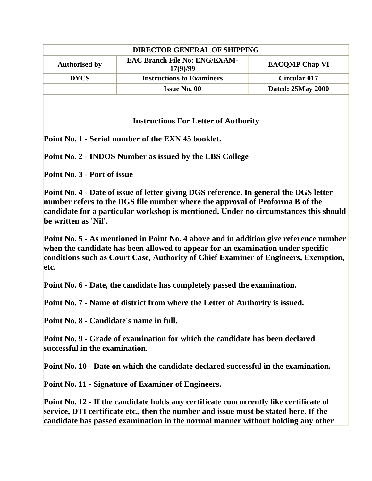| <b>DIRECTOR GENERAL OF SHIPPING</b> |                                                  |                       |
|-------------------------------------|--------------------------------------------------|-----------------------|
| <b>Authorised by</b>                | <b>EAC Branch File No: ENG/EXAM-</b><br>17(9)/99 | <b>EACOMP Chap VI</b> |
| <b>DYCS</b>                         | <b>Instructions to Examiners</b>                 | <b>Circular 017</b>   |
|                                     | <b>Issue No. 00</b>                              | Dated: 25May 2000     |
|                                     |                                                  |                       |

## **Instructions For Letter of Authority**

**Point No. 1 - Serial number of the EXN 45 booklet.** 

**Point No. 2 - INDOS Number as issued by the LBS College** 

**Point No. 3 - Port of issue** 

**Point No. 4 - Date of issue of letter giving DGS reference. In general the DGS letter number refers to the DGS file number where the approval of Proforma B of the candidate for a particular workshop is mentioned. Under no circumstances this should be written as 'Nil'.** 

**Point No. 5 - As mentioned in Point No. 4 above and in addition give reference number when the candidate has been allowed to appear for an examination under specific conditions such as Court Case, Authority of Chief Examiner of Engineers, Exemption, etc.** 

**Point No. 6 - Date, the candidate has completely passed the examination.** 

**Point No. 7 - Name of district from where the Letter of Authority is issued.** 

**Point No. 8 - Candidate's name in full.** 

**Point No. 9 - Grade of examination for which the candidate has been declared successful in the examination.** 

**Point No. 10 - Date on which the candidate declared successful in the examination.** 

**Point No. 11 - Signature of Examiner of Engineers.** 

**Point No. 12 - If the candidate holds any certificate concurrently like certificate of service, DTI certificate etc., then the number and issue must be stated here. If the candidate has passed examination in the normal manner without holding any other**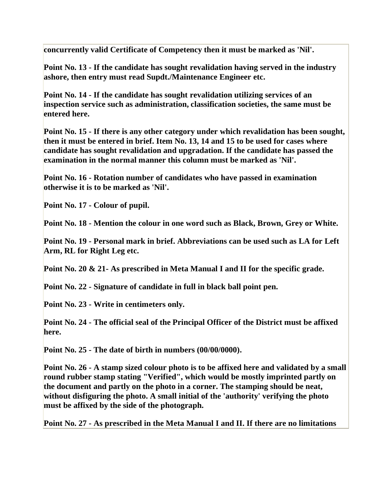**concurrently valid Certificate of Competency then it must be marked as 'Nil'.** 

**Point No. 13 - If the candidate has sought revalidation having served in the industry ashore, then entry must read Supdt./Maintenance Engineer etc.** 

**Point No. 14 - If the candidate has sought revalidation utilizing services of an inspection service such as administration, classification societies, the same must be entered here.** 

**Point No. 15 - If there is any other category under which revalidation has been sought, then it must be entered in brief. Item No. 13, 14 and 15 to be used for cases where candidate has sought revalidation and upgradation. If the candidate has passed the examination in the normal manner this column must be marked as 'Nil'.** 

**Point No. 16 - Rotation number of candidates who have passed in examination otherwise it is to be marked as 'Nil'.** 

**Point No. 17 - Colour of pupil.** 

**Point No. 18 - Mention the colour in one word such as Black, Brown, Grey or White.**

**Point No. 19 - Personal mark in brief. Abbreviations can be used such as LA for Left Arm, RL for Right Leg etc.** 

**Point No. 20 & 21- As prescribed in Meta Manual I and II for the specific grade.** 

**Point No. 22 - Signature of candidate in full in black ball point pen.** 

**Point No. 23 - Write in centimeters only.** 

**Point No. 24 - The official seal of the Principal Officer of the District must be affixed here.** 

**Point No. 25 - The date of birth in numbers (00/00/0000).** 

**Point No. 26 - A stamp sized colour photo is to be affixed here and validated by a small round rubber stamp stating "Verified", which would be mostly imprinted partly on the document and partly on the photo in a corner. The stamping should be neat, without disfiguring the photo. A small initial of the 'authority' verifying the photo must be affixed by the side of the photograph.** 

**Point No. 27 - As prescribed in the Meta Manual I and II. If there are no limitations**